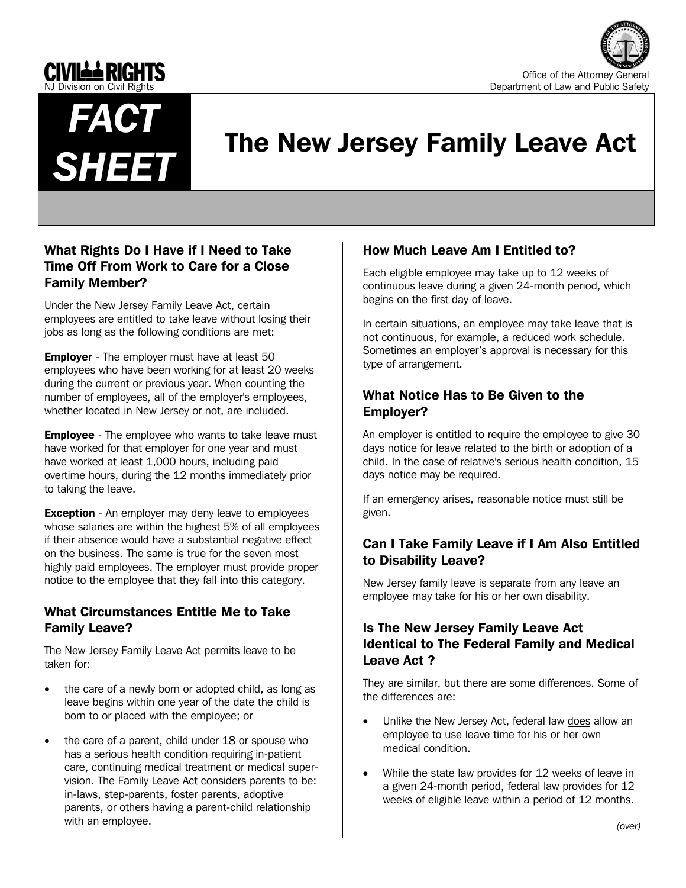





# The New Jersey Family Leave Act

# What Rights Do I Have if I Need to Take Time Off From Work to Care for a Close Family Member?

Under the New Jersey Family Leave Act, certain employees are entitled to take leave without losing their jobs as long as the following conditions are met:

**Employer** - The employer must have at least 50 employees who have been working for at least 20 weeks during the current or previous year. When counting the number of employees, all of the employer's employees, whether located in New Jersey or not, are included.

**Employee** - The employee who wants to take leave must have worked for that employer for one year and must have worked at least 1,000 hours, including paid overtime hours, during the 12 months immediately prior to taking the leave.

**Exception** - An employer may deny leave to employees whose salaries are within the highest 5% of all employees if their absence would have a substantial negative effect on the business. The same is true for the seven most highly paid employees. The employer must provide proper notice to the employee that they fall into this category.

## What Circumstances Entitle Me to Take Family Leave?

The New Jersey Family Leave Act permits leave to be taken for:

- the care of a newly born or adopted child, as long as leave begins within one year of the date the child is born to or placed with the employee; or
- the care of a parent, child under 18 or spouse who has a serious health condition requiring in-patient care, continuing medical treatment or medical supervision. The Family Leave Act considers parents to be: in-laws, step-parents, foster parents, adoptive parents, or others having a parent-child relationship with an employee.

# How Much Leave Am I Entitled to?

Each eligible employee may take up to 12 weeks of continuous leave during a given 24-month period, which begins on the first day of leave.

In certain situations, an employee may take leave that is not continuous, for example, a reduced work schedule. Sometimes an employer's approval is necessary for this type of arrangement.

## What Notice Has to Be Given to the Employer?

An employer is entitled to require the employee to give 30 days notice for leave related to the birth or adoption of a child. In the case of relative's serious health condition, 15 days notice may be required.

If an emergency arises, reasonable notice must still be given.

# Can I Take Family Leave if I Am Also Entitled to Disability Leave?

New Jersey family leave is separate from any leave an employee may take for his or her own disability.

# Is The New Jersey Family Leave Act Identical to The Federal Family and Medical Leave Act ?

They are similar, but there are some differences. Some of the differences are:

- Unlike the New Jersey Act, federal law does allow an employee to use leave time for his or her own medical condition.
- While the state law provides for 12 weeks of leave in a given 24-month period, federal law provides for 12 weeks of eligible leave within a period of 12 months.